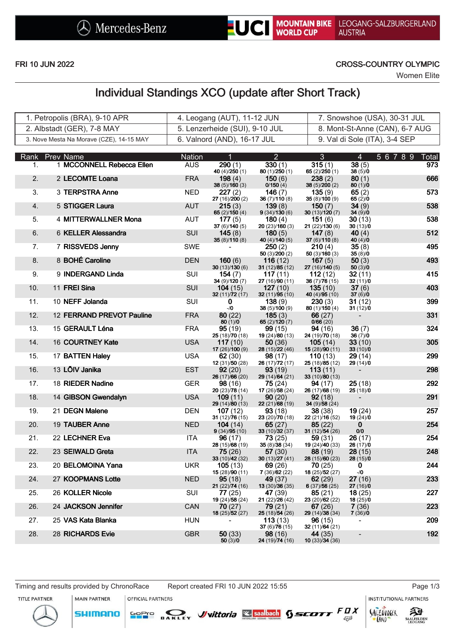

### FRI 10 JUN 2022 CROSS-COUNTRY OLYMPIC

Women Elite

# Individual Standings XCO (update after Short Track)

| 1. Petropolis (BRA), 9-10 APR            | 4. Leogang (AUT), 11-12 JUN    | 7. Snowshoe (USA), 30-31 JUL   |
|------------------------------------------|--------------------------------|--------------------------------|
| 2. Albstadt (GER), 7-8 MAY               | 5. Lenzerheide (SUI), 9-10 JUL | 8. Mont-St-Anne (CAN), 6-7 AUG |
| 3. Nove Mesta Na Morave (CZE), 14-15 MAY | 6. Valnord (AND), 16-17 JUL    | 9. Val di Sole (ITA), 3-4 SEP  |

|     | Rank Prev Name            | Nation     | 1                                | $\overline{2}$                      | 3                            | 4                                    | 5 6 7 8 9 Total |
|-----|---------------------------|------------|----------------------------------|-------------------------------------|------------------------------|--------------------------------------|-----------------|
| 1.  | 1 MCCONNELL Rebecca Ellen | <b>AUS</b> | 290(1)<br>40 $(4)/250(1)$        | 330(1)<br>80(1)/250(1)              | 315(1)<br>65 $(2)/250(1)$    | 38(5)<br>38(5)/0                     | 973             |
| 2.  | 2 LECOMTE Loana           | <b>FRA</b> | <b>198</b> $(4)$<br>38(5)/160(3) | 150(6)<br>0/150(4)                  | 238(2)<br>38 (5)/200 (2)     | 80(1)<br>80(1)/0                     | 666             |
| 3.  | 3 TERPSTRA Anne           | <b>NED</b> | 227 (2)<br>27 (16)/200 (2)       | 146(7)<br>36(7)/110(8)              | 135(9)<br>35(8)/100(9)       | 65 $(2)$<br>65(2)/0                  | 573             |
| 4.  | 5 STIGGER Laura           | <b>AUT</b> | 215(3)<br>65 $(2)/150(4)$        | 139(8)<br>9(34)/130(6)              | 150(7)<br>30(13)/120(7)      | 34(9)<br>34(9)/0                     | 538             |
| 5.  | 4 MITTERWALLNER Mona      | AUT        | 177(5)<br>37 $(6)/140(5)$        | 180 $(4)$<br>20(23)/160(3)          | 151(6)<br>21 (22)/130 (6)    | <b>30</b> (13)<br>30(13)/0           | 538             |
| 6.  | 6 KELLER Alessandra       | SUI        | 145(8)<br>35(8)/110(8)           | 180(5)<br>40 (4)/140 (5)            | 147 $(8)$<br>37 $(6)/110(8)$ | 40 $(4)$<br>40 $(4)/0$               | 512             |
| 7.  | 7 RISSVEDS Jenny          | SWE        |                                  | 250(2)<br>50(3)/200(2)              | 210(4)<br>50(3)/160(3)       | 35(8)<br>35(8)/0                     | 495             |
| 8.  | 8 BOHÉ Caroline           | <b>DEN</b> | 160(6)<br>30(13)/130(6)          | 116(12)                             | 167 $(5)$                    | 50(3)                                | 493             |
| 9.  | 9 INDERGAND Linda         | <b>SUI</b> | 154(7)                           | 31 $(12)/85(12)$<br><b>117</b> (11) | 27 (16)/140 (5)<br>112(12)   | 50(3)/0<br>32 (11)                   | 415             |
| 10. | 11 FREI Sina              | <b>SUI</b> | 34(9)/120(7)<br>104(15)          | 27 (16)/90 (11)<br>127(10)          | 36(7)/76(15)<br>135(10)      | 32(11)/0<br>37(6)                    | 403             |
| 11. | 10 NEFF Jolanda           | SUI        | 32(11)/72(17)<br>0               | 32 (11)/95 (10)<br>138(9)           | 40 (4)/95 (10)<br>230(3)     | 37(6)/0<br>31(12)                    | 399             |
| 12. | 12 FERRAND PREVOT Pauline | <b>FRA</b> | $-10$<br>80(22)                  | 38 (5)/100 (9)<br>185(3)            | 80(1)/150(4)<br>66(27)       | 31(12)/0<br>$\overline{\phantom{a}}$ | 331             |
| 13. | 15 GERAULT Léna           | <b>FRA</b> | 80(1)/0<br>95(19)                | 65 $(2)/120(7)$<br>99 (15)          | 0/66(20)<br>94(16)           | 36(7)                                | 324             |
| 14. | 16 COURTNEY Kate          | <b>USA</b> | 25 (18)/70 (18)<br>117(10)       | 19 (24)/80 (13)<br>50 (36)          | 24(19)/70(18)<br>105(14)     | 36(7)/0<br>33(10)                    | 305             |
| 15. | 17 BATTEN Haley           | <b>USA</b> | 17 (26)/100 (9)<br>62(30)        | 28 (15)/22 (46)<br>98(17)           | 15(28)/90(11)<br>110(13)     | 33(10)/0<br>29(14)                   | 299             |
| 16. | 13 LÕIV Janika            | <b>EST</b> | 12 (31)/50 (28)<br>92(20)        | 26 (17)/72 (17)<br>93 (19)          | 25 (18)/85 (12)<br>113(11)   | 29 (14)/0                            | 298             |
| 17. | 18 RIEDER Nadine          | <b>GER</b> | 26(17)/66(20)<br>98(16)          | 29(14)/64(21)<br>75 (24)            | 33 $(10)/80(13)$<br>94(17)   | 25(18)                               | 292             |
| 18. | 14 GIBSON Gwendalyn       | <b>USA</b> | 20(23)/78(14)<br>109(11)         | 17 (26)/58 (24)<br>90(20)           | 26(17)/68(19)<br>92(18)      | 25(18)/0                             | 291             |
| 19. | 21 DEGN Malene            | <b>DEN</b> | 29 (14)/80 (13)<br>107(12)       | 22(21)/68(19)<br>93(18)             | 34 (9)/58 (24)<br>38 (38)    | 19(24)                               | 257             |
| 20. | 19 TAUBER Anne            | <b>NED</b> | 31 $(12)/76(15)$<br>104(14)      | 23 (20)/70 (18)<br>65 $(27)$        | 22 (21)/16 (52)<br>85(22)    | 19(24)/0<br>$\mathbf{0}$             | 254             |
| 21. | 22 LECHNER Eva            | ITA        | 9(34)/95(10)<br>96(17)           | 33 (10)/32 (37)<br>73(25)           | 31 $(12)/54(26)$<br>59(31)   | $0/0$<br>26 (17)                     | 254             |
| 22. | 23 SEIWALD Greta          | <b>ITA</b> | 28 (15)/68 (19)<br>75 (26)       | 35(8)/38(34)<br>57(30)              | 19(24)/40(33)<br>88 (19)     | 26(17)/0<br>28(15)                   | 248             |
| 23. | 20 BELOMOINA Yana         | <b>UKR</b> | 33 $(10)/42(32)$<br>105(13)      | 30 $(13)/27(41)$<br>69 (26)         | 28(15)/60(23)<br>70(25)      | 28(15)/0<br>0                        | 244             |
| 24. | 27 KOOPMANS Lotte         | <b>NED</b> | 15(28)/90(11)<br>95(18)          | 7(36)/62(22)<br>49 (37)             | 18(25)/52(27)<br>62(29)      | $-10$<br>27(16)                      | 233             |
|     |                           |            | 21(22)/74(16)                    | 13 (30)/36 (35)                     | 6(37)/56(25)                 | 27(16)/0                             |                 |
| 25. | 26 KOLLER Nicole          | SUI        | 77(25)<br>19(24)/58(24)          | 47 (39)<br>21 (22)/26 (42)          | 85(21)<br>23 (20)/62 (22)    | 18(25)<br>18(25)/0                   | 227             |
| 26. | 24 JACKSON Jennifer       | <b>CAN</b> | 70(27)<br>18 (25)/52 (27)        | 79(21)<br>25 (18)/54 (26)           | 67(26)<br>29(14)/38(34)      | 7(36)<br>7(36)/0                     | 223             |
| 27. | 25 VAS Kata Blanka        | <b>HUN</b> | $\blacksquare$                   | 113(13)<br>37 (6)/76 (15)           | 96(15)<br>32(11)/64(21)      | $\overline{\phantom{0}}$             | 209             |
| 28. | 28 RICHARDS Evie          | <b>GBR</b> | 50(33)<br>50(3)/0                | 98(16)<br>24 (19) 74 (16)           | 44 (35)<br>10(33)/34(36)     | $\overline{\phantom{a}}$             | 192             |

Timing and results provided by ChronoRace Report created FRI 10 JUN 2022 15:55 Page 1/3

**MAIN PARTNER** 

**SHIMANO** 

OFFICIAL PARTNERS

SOPIO DAKLEY Vittoria & saabach SSCOTT FUX

**INSTITUTIONAL PARTNERS** 

TITLE PARTNER



 $53$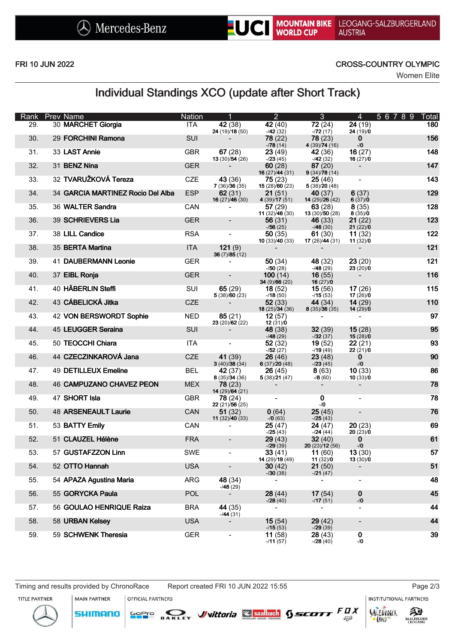

LEOGANG-SALZBURGERLAND **AUSTRIA** 

#### FRI 10 JUN 2022 CROSS-COUNTRY OLYMPIC

Women Elite

## Individual Standings XCO (update after Short Track)

| Rank | <b>Prev Name</b>                  | <b>Nation</b> | 1                               | $\overline{2}$                                | 3 <sup>2</sup>                                                                    | $\overline{4}$                   | 56789<br><b>Total</b> |
|------|-----------------------------------|---------------|---------------------------------|-----------------------------------------------|-----------------------------------------------------------------------------------|----------------------------------|-----------------------|
| 29.  | 30 MARCHET Giorgia                | <b>ITA</b>    | 42 (38)<br>24(19)/18(50)        | 42(40)<br>$-742(32)$                          | 72(24)<br>$-72(17)$                                                               | $\overline{24}$ (19)<br>24(19)/0 | 180                   |
| 30.  | 29 FORCHINI Ramona                | <b>SUI</b>    |                                 | 78(22)<br>$-78(14)$                           | 78(23)<br>4(39)/74(16)                                                            | $\mathbf{0}$<br>$-1/0$           | 156                   |
| 31.  | 33 LAST Annie                     | <b>GBR</b>    | 67(28)<br>13(30)/54(26)         | 23(49)<br>$-23(45)$                           | <b>42</b> (36)<br>$-42(32)$                                                       | 16(27)<br>16(27)/0               | 148                   |
| 32.  | 31 BENZ Nina                      | <b>GER</b>    |                                 | 60(28)<br><b>16</b> (27) $\overline{44}$ (31) | 87(20)<br>9(34)/78(14)                                                            |                                  | 147                   |
| 33.  | 32 TVARUŽKOVÁ Tereza              | CZE           | 43 (36)<br>7(36)/36(35)         | 75(23)<br>15(28)/60(23)                       | 25(46)<br>5(38)/20(48)                                                            |                                  | 143                   |
| 34.  | 34 GARCIA MARTINEZ Rocio Del Alba | <b>ESP</b>    | 62(31)<br>16(27)/46(30)         | 21(51)<br>4(39)/17(51)                        | <b>40</b> (37)<br>14(29)/26(42)                                                   | 6(37)<br>6(37)/0                 | 129                   |
| 35.  | 36 WALTER Sandra                  | CAN           |                                 | 57(29)                                        | 63(28)<br><b>11</b> (32) $\overline{46}$ (30) <b>13</b> (30) $\overline{50}$ (28) | 8(35)<br>8(35)/0                 | 128                   |
| 36.  | 39 SCHRIEVERS Lia                 | <b>GER</b>    |                                 | 56(31)<br>$-756(25)$                          | 46(33)<br>$-46(30)$                                                               | 21(22)<br>21(22)/0               | 123                   |
| 37.  | 38 LILL Candice                   | <b>RSA</b>    | $\blacksquare$                  | 50(35)                                        | 61 (30)<br><b>10</b> (33) $/40$ (33) <b>17</b> (26) $/44$ (31)                    | 11(32)<br>11(32)/0               | 122                   |
| 38.  | 35 BERTA Martina                  | <b>ITA</b>    | 121(9)<br>36(7)/85(12)          |                                               |                                                                                   |                                  | 121                   |
| 39.  | 41 DAUBERMANN Leonie              | <b>GER</b>    | $\blacksquare$                  | 50 $(34)$<br>$-750(28)$                       | 48 (32)<br>$-48(29)$                                                              | 23(20)<br>23(20)/0               | 121                   |
| 40.  | 37 EIBL Ronja                     | <b>GER</b>    | $\blacksquare$                  | 100(14)<br>34(9)/66(20)                       | 16(55)<br>16(27)/0                                                                | $\sim$                           | 116                   |
| 41.  | 40 HÄBERLIN Steffi                | SUI           | 65(29)<br>5(38)/60(23)          | <b>18</b> (52)<br>$-18(50)$                   | 15(56)<br>$-15(53)$                                                               | 17(26)<br>17(26)/0               | 115                   |
| 42.  | 43 CÁBELICKÁ Jitka                | CZE           |                                 | 52(33)<br>18 (25)/34 (36)                     | 44 $(34)$<br>8(35)/36(35)                                                         | 14(29)<br>14(29)/0               | 110                   |
| 43.  | 42 VON BERSWORDT Sophie           | <b>NED</b>    | 85(21)<br>23(20)/62(22)         | 12(57)<br>12(31)/0                            | $\sim$                                                                            | $\blacksquare$                   | 97                    |
| 44.  | 45 LEUGGER Seraina                | SUI           |                                 | 48(38)<br>$-748(29)$                          | 32(39)<br>$-132(37)$                                                              | 15(28)<br>15(28)/0               | 95                    |
| 45.  | 50 TEOCCHI Chiara                 | ITA           |                                 | 52(32)<br>$-752(27)$                          | 19(52)<br>$-19(49)$                                                               | 22(21)<br>22(21)/0               | 93                    |
| 46.  | 44 CZECZINKAROVÁ Jana             | <b>CZE</b>    | 41 (39)<br>3(40)/38(34)         | 26(46)<br>6(37)/20(48)                        | 23(48)<br>$-23(45)$                                                               | $\mathbf{0}$<br>$-1/0$           | 90                    |
| 47.  | <b>49 DETILLEUX Emeline</b>       | <b>BEL</b>    | <b>42</b> (37)<br>8(35)/34(36)  | <b>26</b> (45)<br>5(38)/21(47)                | 8(63)<br>$-78(60)$                                                                | 10(33)<br>10(33)/0               | 86                    |
| 48.  | 46 CAMPUZANO CHAVEZ PEON          | <b>MEX</b>    | <b>78</b> (23)<br>14(29)/64(21) |                                               |                                                                                   |                                  | 78                    |
| 49.  | 47 SHORT Isla                     | <b>GBR</b>    | 78 (24)<br>22(21)/56(25)        |                                               | $\mathbf 0$<br>$-10$                                                              |                                  | 78                    |
| 50.  | <b>48 ARSENEAULT Laurie</b>       | CAN           | 51(32)<br>11 $(32)/40(33)$      | 0(64)<br>$-70(63)$                            | 25(45)<br>$-25(43)$                                                               | $\blacksquare$                   | 76                    |
| 51.  | 53 BATTY Emily                    | CAN           | $\blacksquare$                  | 25(47)<br>$-25(43)$                           | 24(47)<br>$-24(44)$                                                               | 20(23)<br>20(23)/0               | 69                    |
| 52.  | 51 CLAUZEL Hélène                 | <b>FRA</b>    | $\blacksquare$                  | 29(43)<br>$-29(39)$                           | 32(40)<br>20(23)/12(56)                                                           | $\mathbf{0}$<br>$-10$            | 61                    |
| 53.  | 57 GUSTAFZZON Linn                | <b>SWE</b>    | $\blacksquare$                  | 33(41)<br>14 (29)/19 (49)                     | 11(60)<br>11(32)/0                                                                | 13(30)<br>13(30)/0               | 57                    |
| 54.  | 52 OTTO Hannah                    | <b>USA</b>    |                                 | 30(42)<br>$-30(38)$                           | 21(50)<br>$-21(47)$                                                               |                                  | 51                    |
| 55.  | 54 APAZA Agustina Maria           | ARG           | 48 (34)<br>$-48(29)$            |                                               | $\overline{\phantom{a}}$                                                          | $\blacksquare$                   | 48                    |
| 56.  | 55 GORYCKA Paula                  | <b>POL</b>    | $\blacksquare$                  | 28(44)<br>$-28(40)$                           | 17(54)<br>$-17(51)$                                                               | $\bf{0}$<br>-/0                  | 45                    |
| 57.  | 56 GOULAO HENRIQUE Raiza          | <b>BRA</b>    | 44 (35)<br>$-44(31)$            | $\blacksquare$                                | $\qquad \qquad \blacksquare$                                                      | $\overline{\phantom{a}}$         | 44                    |
| 58.  | 58 URBAN Kelsey                   | <b>USA</b>    | $\overline{\phantom{a}}$        | 15(54)<br>$-15(53)$                           | 29(42)<br>$-29(39)$                                                               | $\overline{\phantom{a}}$         | 44                    |
| 59.  | 59 SCHWENK Theresia               | <b>GER</b>    | $\blacksquare$                  | 11(58)<br>$-11(57)$                           | 28(43)<br>-/ <b>28</b> (40)                                                       | 0<br>$-10$                       | 39                    |

**SHIMANO** 

**INSTITUTIONAL PARTNERS** 



**MAIN PARTNER** OFFICIAL PARTNERS

**GoPro** 





 $53$